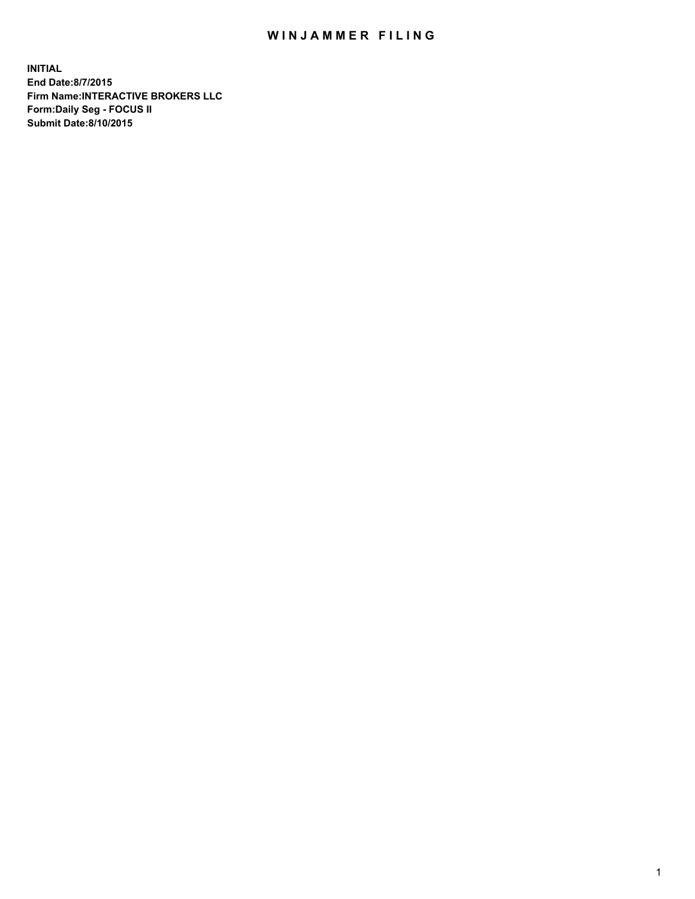## WIN JAMMER FILING

**INITIAL End Date:8/7/2015 Firm Name:INTERACTIVE BROKERS LLC Form:Daily Seg - FOCUS II Submit Date:8/10/2015**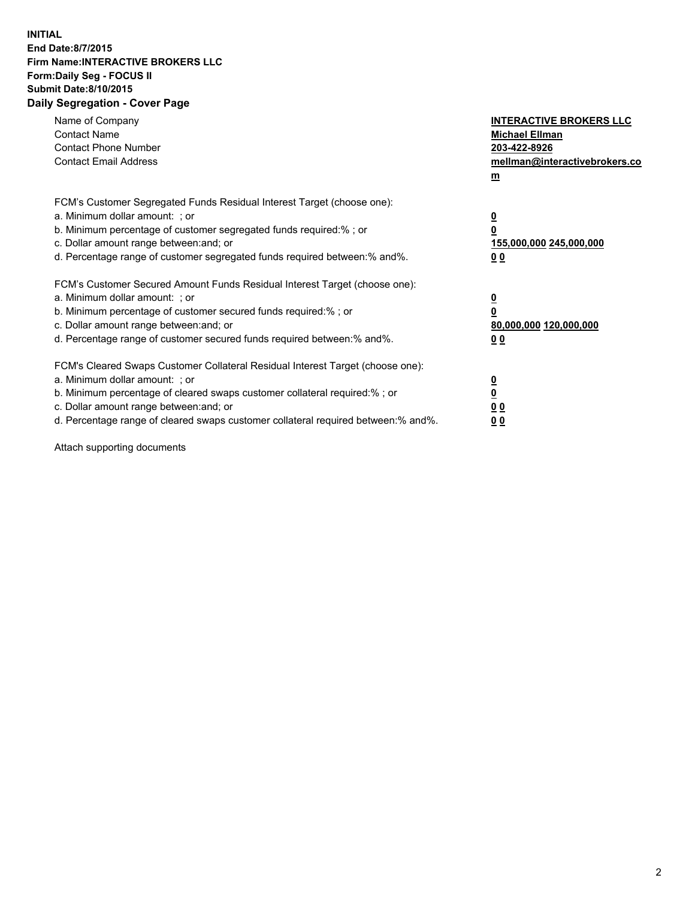## **INITIAL End Date:8/7/2015 Firm Name:INTERACTIVE BROKERS LLC Form:Daily Seg - FOCUS II Submit Date:8/10/2015 Daily Segregation - Cover Page**

| Name of Company<br><b>Contact Name</b><br><b>Contact Phone Number</b><br><b>Contact Email Address</b>                                                                                                                                                                                                                          | <b>INTERACTIVE BROKERS LLC</b><br><b>Michael Ellman</b><br>203-422-8926<br>mellman@interactivebrokers.co<br>$\mathbf{m}$ |
|--------------------------------------------------------------------------------------------------------------------------------------------------------------------------------------------------------------------------------------------------------------------------------------------------------------------------------|--------------------------------------------------------------------------------------------------------------------------|
| FCM's Customer Segregated Funds Residual Interest Target (choose one):<br>a. Minimum dollar amount: ; or<br>b. Minimum percentage of customer segregated funds required:% ; or<br>c. Dollar amount range between: and; or<br>d. Percentage range of customer segregated funds required between:% and%.                         | $\overline{\mathbf{0}}$<br>0<br>155,000,000 245,000,000<br><u>00</u>                                                     |
| FCM's Customer Secured Amount Funds Residual Interest Target (choose one):<br>a. Minimum dollar amount: ; or<br>b. Minimum percentage of customer secured funds required:%; or<br>c. Dollar amount range between: and; or<br>d. Percentage range of customer secured funds required between:% and%.                            | $\overline{\mathbf{0}}$<br>0<br>80,000,000 120,000,000<br>0 <sub>0</sub>                                                 |
| FCM's Cleared Swaps Customer Collateral Residual Interest Target (choose one):<br>a. Minimum dollar amount: ; or<br>b. Minimum percentage of cleared swaps customer collateral required:% ; or<br>c. Dollar amount range between: and; or<br>d. Percentage range of cleared swaps customer collateral required between:% and%. | $\overline{\mathbf{0}}$<br>$\overline{\mathbf{0}}$<br>0 <sub>0</sub><br>0 <sub>0</sub>                                   |

Attach supporting documents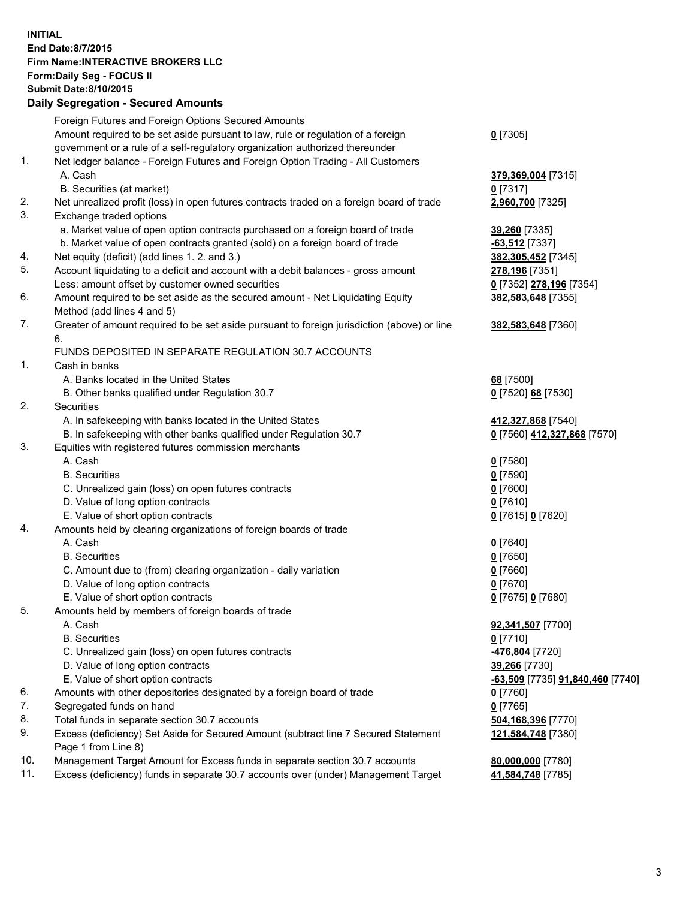## **INITIAL End Date:8/7/2015 Firm Name:INTERACTIVE BROKERS LLC Form:Daily Seg - FOCUS II Submit Date:8/10/2015 Daily Segregation - Secured Amounts**

|     | Foreign Futures and Foreign Options Secured Amounts                                         |                                  |
|-----|---------------------------------------------------------------------------------------------|----------------------------------|
|     | Amount required to be set aside pursuant to law, rule or regulation of a foreign            | $0$ [7305]                       |
|     | government or a rule of a self-regulatory organization authorized thereunder                |                                  |
| 1.  | Net ledger balance - Foreign Futures and Foreign Option Trading - All Customers             |                                  |
|     | A. Cash                                                                                     | 379,369,004 [7315]               |
|     | B. Securities (at market)                                                                   | $0$ [7317]                       |
| 2.  | Net unrealized profit (loss) in open futures contracts traded on a foreign board of trade   | 2,960,700 [7325]                 |
| 3.  | Exchange traded options                                                                     |                                  |
|     | a. Market value of open option contracts purchased on a foreign board of trade              | 39,260 [7335]                    |
|     | b. Market value of open contracts granted (sold) on a foreign board of trade                | $-63,512$ [7337]                 |
| 4.  | Net equity (deficit) (add lines 1.2. and 3.)                                                | 382,305,452 [7345]               |
| 5.  | Account liquidating to a deficit and account with a debit balances - gross amount           | 278,196 [7351]                   |
|     | Less: amount offset by customer owned securities                                            | 0 [7352] 278,196 [7354]          |
| 6.  | Amount required to be set aside as the secured amount - Net Liquidating Equity              | 382,583,648 [7355]               |
|     | Method (add lines 4 and 5)                                                                  |                                  |
| 7.  | Greater of amount required to be set aside pursuant to foreign jurisdiction (above) or line |                                  |
|     |                                                                                             | 382,583,648 [7360]               |
|     | 6.                                                                                          |                                  |
|     | FUNDS DEPOSITED IN SEPARATE REGULATION 30.7 ACCOUNTS                                        |                                  |
| 1.  | Cash in banks                                                                               |                                  |
|     | A. Banks located in the United States                                                       | 68 [7500]                        |
|     | B. Other banks qualified under Regulation 30.7                                              | 0 [7520] 68 [7530]               |
| 2.  | Securities                                                                                  |                                  |
|     | A. In safekeeping with banks located in the United States                                   | 412,327,868 [7540]               |
|     | B. In safekeeping with other banks qualified under Regulation 30.7                          | 0 [7560] 412,327,868 [7570]      |
| 3.  | Equities with registered futures commission merchants                                       |                                  |
|     | A. Cash                                                                                     | $0$ [7580]                       |
|     | <b>B.</b> Securities                                                                        | $0$ [7590]                       |
|     | C. Unrealized gain (loss) on open futures contracts                                         | $0$ [7600]                       |
|     | D. Value of long option contracts                                                           | $0$ [7610]                       |
|     | E. Value of short option contracts                                                          | 0 [7615] 0 [7620]                |
| 4.  | Amounts held by clearing organizations of foreign boards of trade                           |                                  |
|     | A. Cash                                                                                     | $0$ [7640]                       |
|     | <b>B.</b> Securities                                                                        | $0$ [7650]                       |
|     | C. Amount due to (from) clearing organization - daily variation                             | $0$ [7660]                       |
|     | D. Value of long option contracts                                                           | $0$ [7670]                       |
|     | E. Value of short option contracts                                                          | 0 [7675] 0 [7680]                |
| 5.  | Amounts held by members of foreign boards of trade                                          |                                  |
|     | A. Cash                                                                                     | 92,341,507 [7700]                |
|     | <b>B.</b> Securities                                                                        | $0$ [7710]                       |
|     | C. Unrealized gain (loss) on open futures contracts                                         | -476,804 [7720]                  |
|     | D. Value of long option contracts                                                           | 39,266 [7730]                    |
|     | E. Value of short option contracts                                                          | -63,509 [7735] 91,840,460 [7740] |
| 6.  | Amounts with other depositories designated by a foreign board of trade                      | $0$ [7760]                       |
| 7.  | Segregated funds on hand                                                                    | $0$ [7765]                       |
| 8.  | Total funds in separate section 30.7 accounts                                               | 504,168,396 [7770]               |
| 9.  | Excess (deficiency) Set Aside for Secured Amount (subtract line 7 Secured Statement         | 121,584,748 [7380]               |
|     | Page 1 from Line 8)                                                                         |                                  |
| 10. | Management Target Amount for Excess funds in separate section 30.7 accounts                 | 80,000,000 [7780]                |
| 11. | Excess (deficiency) funds in separate 30.7 accounts over (under) Management Target          | 41,584,748 [7785]                |
|     |                                                                                             |                                  |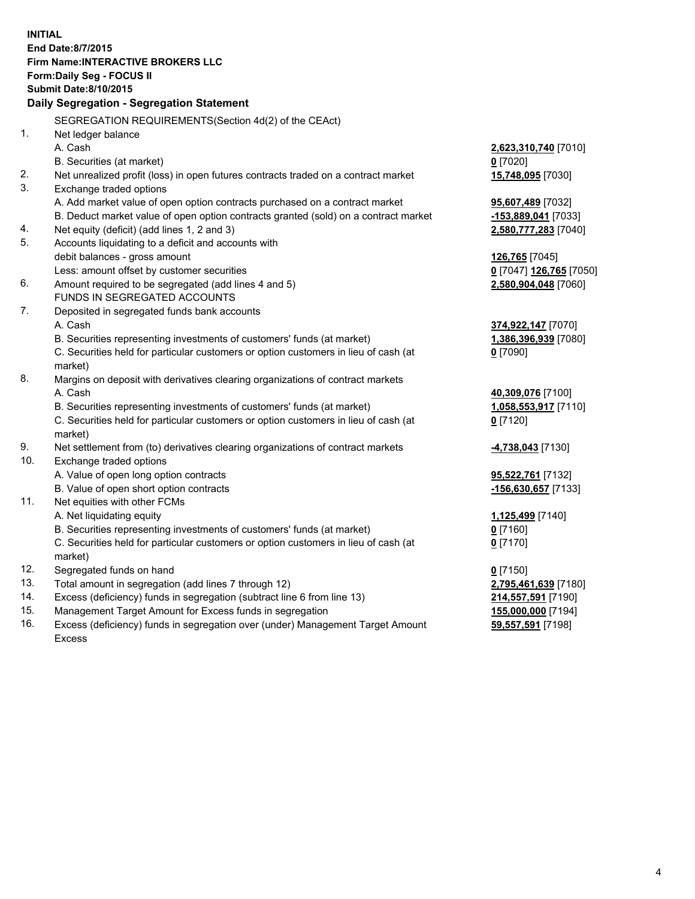**INITIAL End Date:8/7/2015 Firm Name:INTERACTIVE BROKERS LLC Form:Daily Seg - FOCUS II Submit Date:8/10/2015 Daily Segregation - Segregation Statement** SEGREGATION REQUIREMENTS(Section 4d(2) of the CEAct) 1. Net ledger balance A. Cash **2,623,310,740** [7010] B. Securities (at market) **0** [7020] 2. Net unrealized profit (loss) in open futures contracts traded on a contract market **15,748,095** [7030] 3. Exchange traded options A. Add market value of open option contracts purchased on a contract market **95,607,489** [7032] B. Deduct market value of open option contracts granted (sold) on a contract market **-153,889,041** [7033] 4. Net equity (deficit) (add lines 1, 2 and 3) **2,580,777,283** [7040] 5. Accounts liquidating to a deficit and accounts with debit balances - gross amount **126,765** [7045] Less: amount offset by customer securities **0** [7047] **126,765** [7050] 6. Amount required to be segregated (add lines 4 and 5) **2,580,904,048** [7060] FUNDS IN SEGREGATED ACCOUNTS 7. Deposited in segregated funds bank accounts A. Cash **374,922,147** [7070] B. Securities representing investments of customers' funds (at market) **1,386,396,939** [7080] C. Securities held for particular customers or option customers in lieu of cash (at market) **0** [7090] 8. Margins on deposit with derivatives clearing organizations of contract markets A. Cash **40,309,076** [7100] B. Securities representing investments of customers' funds (at market) **1,058,553,917** [7110] C. Securities held for particular customers or option customers in lieu of cash (at market) **0** [7120] 9. Net settlement from (to) derivatives clearing organizations of contract markets **-4,738,043** [7130] 10. Exchange traded options A. Value of open long option contracts **95,522,761** [7132] B. Value of open short option contracts **-156,630,657** [7133] 11. Net equities with other FCMs A. Net liquidating equity **1,125,499** [7140] B. Securities representing investments of customers' funds (at market) **0** [7160] C. Securities held for particular customers or option customers in lieu of cash (at market) **0** [7170] 12. Segregated funds on hand **0** [7150] 13. Total amount in segregation (add lines 7 through 12) **2,795,461,639** [7180] 14. Excess (deficiency) funds in segregation (subtract line 6 from line 13) **214,557,591** [7190] 15. Management Target Amount for Excess funds in segregation **155,000,000** [7194]

16. Excess (deficiency) funds in segregation over (under) Management Target Amount Excess

**59,557,591** [7198]